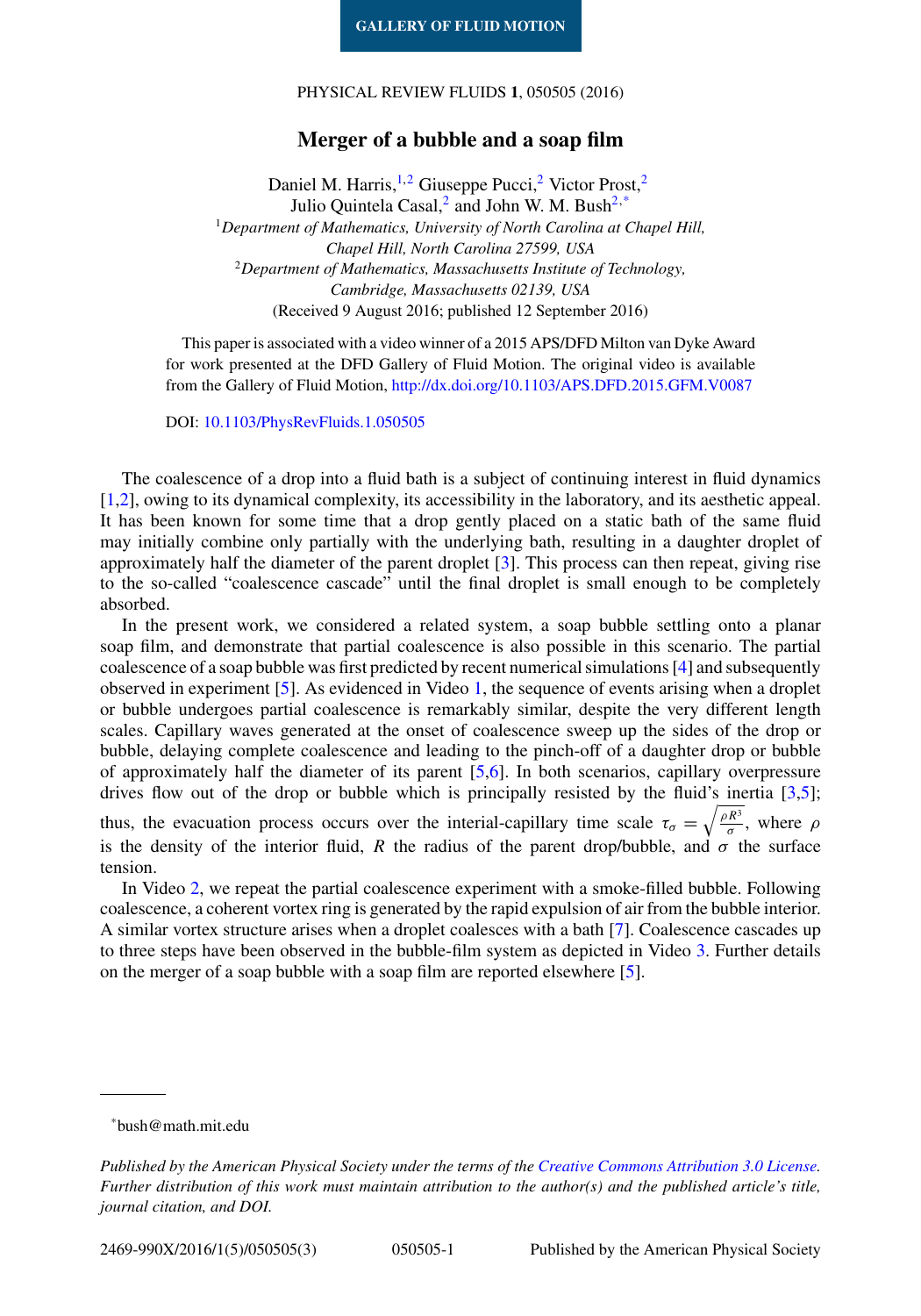## PHYSICAL REVIEW FLUIDS **1**, 050505 (2016)

## **Merger of a bubble and a soap film**

Daniel M. Harris,<sup>1,2</sup> Giuseppe Pucci,<sup>2</sup> Victor Prost,<sup>2</sup> Julio Quintela Casal,<sup>2</sup> and John W. M. Bush<sup>2,\*</sup> <sup>1</sup>*Department of Mathematics, University of North Carolina at Chapel Hill, Chapel Hill, North Carolina 27599, USA* <sup>2</sup>*Department of Mathematics, Massachusetts Institute of Technology, Cambridge, Massachusetts 02139, USA* (Received 9 August 2016; published 12 September 2016)

This paper is associated with a video winner of a 2015 APS/DFD Milton van Dyke Award for work presented at the DFD Gallery of Fluid Motion. The original video is available from the Gallery of Fluid Motion, <http://dx.doi.org/10.1103/APS.DFD.2015.GFM.V0087>

DOI: [10.1103/PhysRevFluids.1.050505](http://dx.doi.org/10.1103/PhysRevFluids.1.050505)

The coalescence of a drop into a fluid bath is a subject of continuing interest in fluid dynamics [\[1,2\]](#page-2-0), owing to its dynamical complexity, its accessibility in the laboratory, and its aesthetic appeal. It has been known for some time that a drop gently placed on a static bath of the same fluid may initially combine only partially with the underlying bath, resulting in a daughter droplet of approximately half the diameter of the parent droplet [\[3\]](#page-2-0). This process can then repeat, giving rise to the so-called "coalescence cascade" until the final droplet is small enough to be completely absorbed.

In the present work, we considered a related system, a soap bubble settling onto a planar soap film, and demonstrate that partial coalescence is also possible in this scenario. The partial coalescence of a soap bubble was first predicted by recent numerical simulations [\[4\]](#page-2-0) and subsequently observed in experiment [\[5\]](#page-2-0). As evidenced in Video [1,](#page-1-0) the sequence of events arising when a droplet or bubble undergoes partial coalescence is remarkably similar, despite the very different length scales. Capillary waves generated at the onset of coalescence sweep up the sides of the drop or bubble, delaying complete coalescence and leading to the pinch-off of a daughter drop or bubble of approximately half the diameter of its parent [\[5,6\]](#page-2-0). In both scenarios, capillary overpressure drives flow out of the drop or bubble which is principally resisted by the fluid's inertia [\[3,5\]](#page-2-0); thus, the evacuation process occurs over the interial-capillary time scale  $\tau_{\sigma} = \sqrt{\frac{\rho R^3}{\sigma}}$ , where  $\rho$ 

is the density of the interior fluid, *R* the radius of the parent drop/bubble, and  $\sigma$  the surface tension. In Video [2,](#page-1-0) we repeat the partial coalescence experiment with a smoke-filled bubble. Following

coalescence, a coherent vortex ring is generated by the rapid expulsion of air from the bubble interior. A similar vortex structure arises when a droplet coalesces with a bath [\[7\]](#page-2-0). Coalescence cascades up to three steps have been observed in the bubble-film system as depicted in Video [3.](#page-2-0) Further details on the merger of a soap bubble with a soap film are reported elsewhere [\[5\]](#page-2-0).

<sup>\*</sup>bush@math.mit.edu

*Published by the American Physical Society under the terms of the [Creative Commons Attribution 3.0 License.](http://creativecommons.org/licenses/by/3.0/) Further distribution of this work must maintain attribution to the author(s) and the published article's title, journal citation, and DOI.*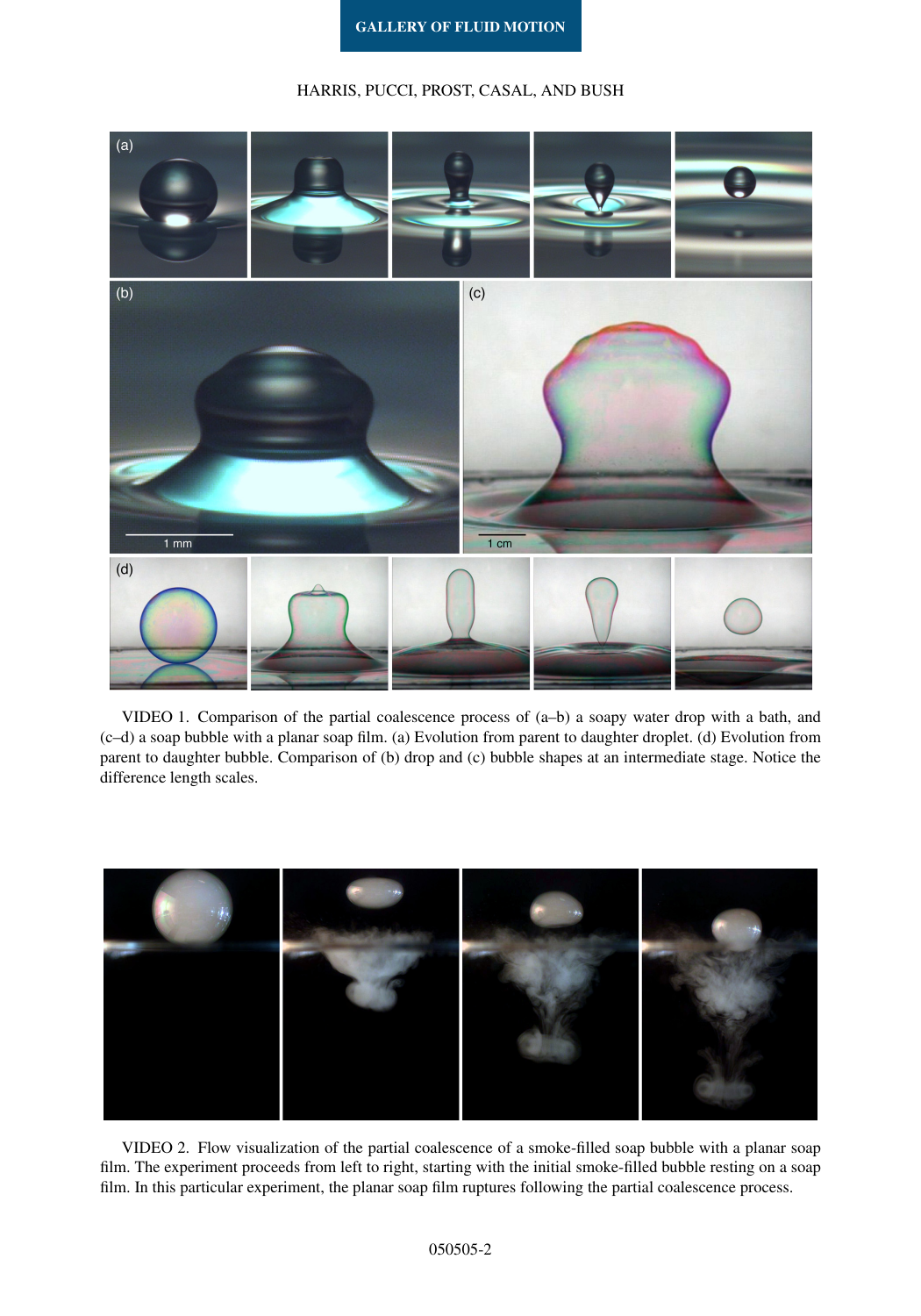## HARRIS, PUCCI, PROST, CASAL, AND BUSH

<span id="page-1-0"></span>

VIDEO 1. Comparison of the partial coalescence process of (a–b) a soapy water drop with a bath, and (c–d) a soap bubble with a planar soap film. (a) Evolution from parent to daughter droplet. (d) Evolution from parent to daughter bubble. Comparison of (b) drop and (c) bubble shapes at an intermediate stage. Notice the difference length scales.



VIDEO 2. Flow visualization of the partial coalescence of a smoke-filled soap bubble with a planar soap film. The experiment proceeds from left to right, starting with the initial smoke-filled bubble resting on a soap film. In this particular experiment, the planar soap film ruptures following the partial coalescence process.